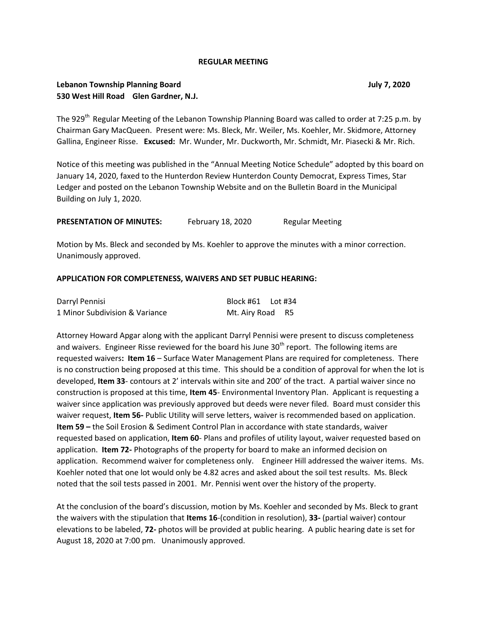## **REGULAR MEETING**

# **Lebanon Township Planning Board July 7, 2020 530 West Hill Road Glen Gardner, N.J.**

The 929<sup>th</sup> Regular Meeting of the Lebanon Township Planning Board was called to order at 7:25 p.m. by Chairman Gary MacQueen. Present were: Ms. Bleck, Mr. Weiler, Ms. Koehler, Mr. Skidmore, Attorney Gallina, Engineer Risse. **Excused:** Mr. Wunder, Mr. Duckworth, Mr. Schmidt, Mr. Piasecki & Mr. Rich.

Notice of this meeting was published in the "Annual Meeting Notice Schedule" adopted by this board on January 14, 2020, faxed to the Hunterdon Review Hunterdon County Democrat, Express Times, Star Ledger and posted on the Lebanon Township Website and on the Bulletin Board in the Municipal Building on July 1, 2020.

**PRESENTATION OF MINUTES:** February 18, 2020 Regular Meeting

Motion by Ms. Bleck and seconded by Ms. Koehler to approve the minutes with a minor correction. Unanimously approved.

### **APPLICATION FOR COMPLETENESS, WAIVERS AND SET PUBLIC HEARING:**

| Darryl Pennisi                 | Block #61 Lot #34 |  |
|--------------------------------|-------------------|--|
| 1 Minor Subdivision & Variance | Mt. Airy Road R5  |  |

Attorney Howard Apgar along with the applicant Darryl Pennisi were present to discuss completeness and waivers. Engineer Risse reviewed for the board his June 30<sup>th</sup> report. The following items are requested waivers**: Item 16** – Surface Water Management Plans are required for completeness. There is no construction being proposed at this time. This should be a condition of approval for when the lot is developed, **Item 33**- contours at 2' intervals within site and 200' of the tract. A partial waiver since no construction is proposed at this time, **Item 45**- Environmental Inventory Plan. Applicant is requesting a waiver since application was previously approved but deeds were never filed. Board must consider this waiver request, **Item 56-** Public Utility will serve letters, waiver is recommended based on application. **Item 59 –** the Soil Erosion & Sediment Control Plan in accordance with state standards, waiver requested based on application, **Item 60**- Plans and profiles of utility layout, waiver requested based on application. **Item 72-** Photographs of the property for board to make an informed decision on application. Recommend waiver for completeness only. Engineer Hill addressed the waiver items. Ms. Koehler noted that one lot would only be 4.82 acres and asked about the soil test results. Ms. Bleck noted that the soil tests passed in 2001. Mr. Pennisi went over the history of the property.

At the conclusion of the board's discussion, motion by Ms. Koehler and seconded by Ms. Bleck to grant the waivers with the stipulation that **Items 16**-(condition in resolution), **33-** (partial waiver) contour elevations to be labeled, **72-** photos will be provided at public hearing. A public hearing date is set for August 18, 2020 at 7:00 pm. Unanimously approved.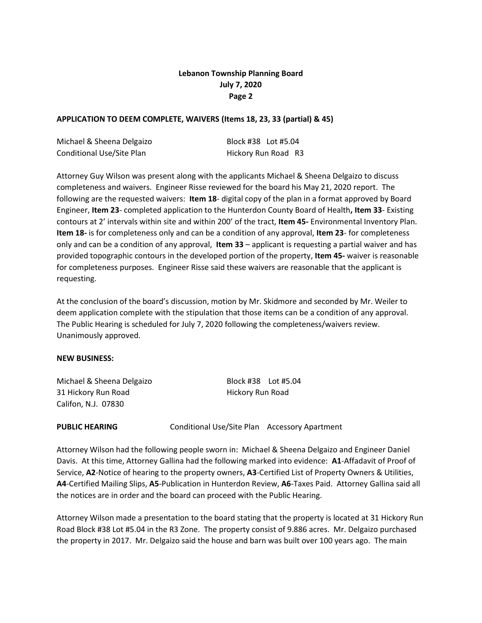# **Lebanon Township Planning Board July 7, 2020 Page 2**

# **APPLICATION TO DEEM COMPLETE, WAIVERS (Items 18, 23, 33 (partial) & 45)**

| Michael & Sheena Delgaizo        | Block #38 Lot #5.04 |  |
|----------------------------------|---------------------|--|
| <b>Conditional Use/Site Plan</b> | Hickory Run Road R3 |  |

Attorney Guy Wilson was present along with the applicants Michael & Sheena Delgaizo to discuss completeness and waivers. Engineer Risse reviewed for the board his May 21, 2020 report. The following are the requested waivers: **Item 18**- digital copy of the plan in a format approved by Board Engineer, **Item 23**- completed application to the Hunterdon County Board of Health**, Item 33**- Existing contours at 2' intervals within site and within 200' of the tract, **Item 45-** Environmental Inventory Plan. **Item 18-** is for completeness only and can be a condition of any approval, **Item 23**- for completeness only and can be a condition of any approval, **Item 33** – applicant is requesting a partial waiver and has provided topographic contours in the developed portion of the property, **Item 45-** waiver is reasonable for completeness purposes. Engineer Risse said these waivers are reasonable that the applicant is requesting.

At the conclusion of the board's discussion, motion by Mr. Skidmore and seconded by Mr. Weiler to deem application complete with the stipulation that those items can be a condition of any approval. The Public Hearing is scheduled for July 7, 2020 following the completeness/waivers review. Unanimously approved.

### **NEW BUSINESS:**

| Michael & Sheena Delgaizo | Block #38    Lot #5.04 |  |
|---------------------------|------------------------|--|
| 31 Hickory Run Road       | Hickory Run Road       |  |
| Califon, N.J. 07830       |                        |  |

**PUBLIC HEARING Conditional Use/Site Plan Accessory Apartment** 

Attorney Wilson had the following people sworn in: Michael & Sheena Delgaizo and Engineer Daniel Davis. At this time, Attorney Gallina had the following marked into evidence: **A1**-Affadavit of Proof of Service, **A2**-Notice of hearing to the property owners, **A3**-Certified List of Property Owners & Utilities, **A4**-Certified Mailing Slips, **A5**-Publication in Hunterdon Review, **A6**-Taxes Paid. Attorney Gallina said all the notices are in order and the board can proceed with the Public Hearing.

Attorney Wilson made a presentation to the board stating that the property is located at 31 Hickory Run Road Block #38 Lot #5.04 in the R3 Zone. The property consist of 9.886 acres. Mr. Delgaizo purchased the property in 2017. Mr. Delgaizo said the house and barn was built over 100 years ago. The main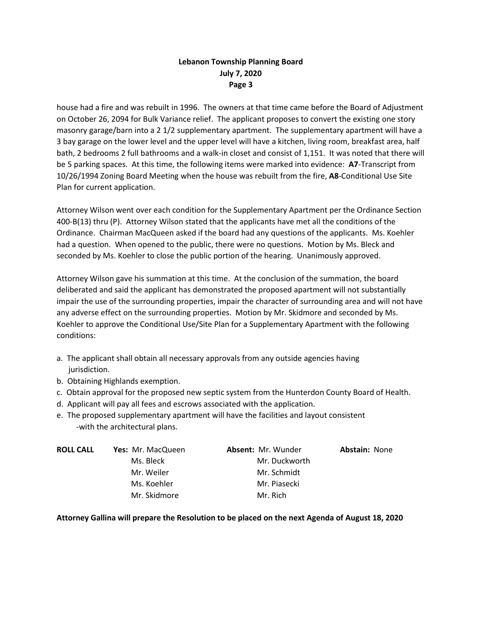# **Lebanon Township Planning Board July 7, 2020 Page 3**

house had a fire and was rebuilt in 1996. The owners at that time came before the Board of Adjustment on October 26, 2094 for Bulk Variance relief. The applicant proposes to convert the existing one story masonry garage/barn into a 2 1/2 supplementary apartment. The supplementary apartment will have a 3 bay garage on the lower level and the upper level will have a kitchen, living room, breakfast area, half bath, 2 bedrooms 2 full bathrooms and a walk-in closet and consist of 1,151. It was noted that there will be 5 parking spaces. At this time, the following items were marked into evidence: **A7**-Transcript from 10/26/1994 Zoning Board Meeting when the house was rebuilt from the fire, **A8**-Conditional Use Site Plan for current application.

Attorney Wilson went over each condition for the Supplementary Apartment per the Ordinance Section 400-B(13) thru (P). Attorney Wilson stated that the applicants have met all the conditions of the Ordinance. Chairman MacQueen asked if the board had any questions of the applicants. Ms. Koehler had a question. When opened to the public, there were no questions. Motion by Ms. Bleck and seconded by Ms. Koehler to close the public portion of the hearing. Unanimously approved.

Attorney Wilson gave his summation at this time. At the conclusion of the summation, the board deliberated and said the applicant has demonstrated the proposed apartment will not substantially impair the use of the surrounding properties, impair the character of surrounding area and will not have any adverse effect on the surrounding properties. Motion by Mr. Skidmore and seconded by Ms. Koehler to approve the Conditional Use/Site Plan for a Supplementary Apartment with the following conditions:

- a. The applicant shall obtain all necessary approvals from any outside agencies having jurisdiction.
- b. Obtaining Highlands exemption.
- c. Obtain approval for the proposed new septic system from the Hunterdon County Board of Health.
- d. Applicant will pay all fees and escrows associated with the application.
- e. The proposed supplementary apartment will have the facilities and layout consistent -with the architectural plans.

| <b>ROLL CALL</b> | <b>Yes: Mr. MacQueen</b> | <b>Absent: Mr. Wunder</b> | <b>Abstain: None</b> |
|------------------|--------------------------|---------------------------|----------------------|
|                  | Ms. Bleck                | Mr. Duckworth             |                      |
|                  | Mr. Weiler               | Mr. Schmidt               |                      |
|                  | Ms. Koehler              | Mr. Piasecki              |                      |
|                  | Mr. Skidmore             | Mr. Rich                  |                      |

# **Attorney Gallina will prepare the Resolution to be placed on the next Agenda of August 18, 2020**